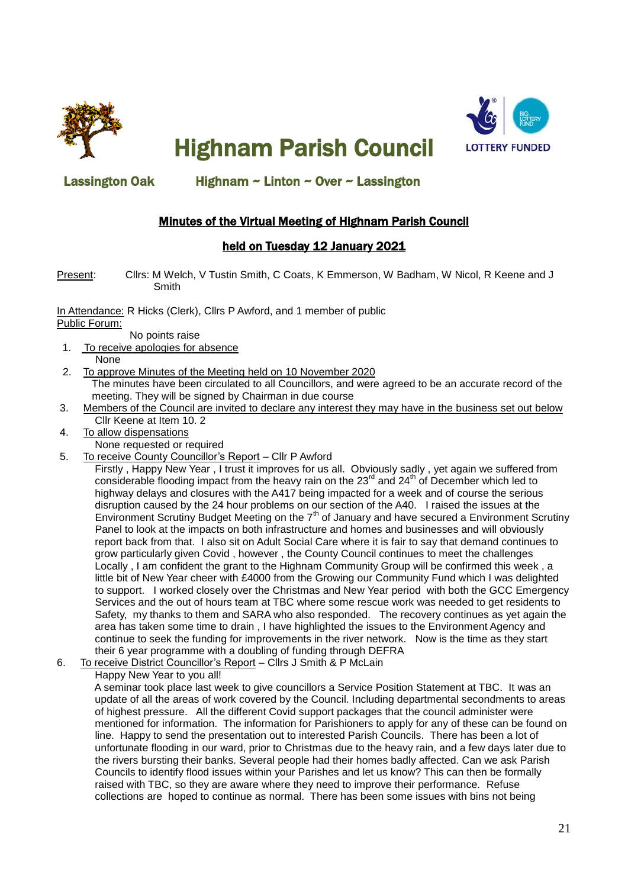

Highnam Parish Council



### Lassington Oak Highnam ~ Linton ~ Over ~ Lassington

## Minutes of the Virtual Meeting of Highnam Parish Council

### held on Tuesday 12 January 2021

Present: Cllrs: M Welch, V Tustin Smith, C Coats, K Emmerson, W Badham, W Nicol, R Keene and J Smith

In Attendance: R Hicks (Clerk), Cllrs P Awford, and 1 member of public Public Forum:

No points raise

- 1. To receive apologies for absence None
- 2. To approve Minutes of the Meeting held on 10 November 2020 The minutes have been circulated to all Councillors, and were agreed to be an accurate record of the meeting. They will be signed by Chairman in due course
- 3. Members of the Council are invited to declare any interest they may have in the business set out below Cllr Keene at Item 10. 2
- 4. To allow dispensations None requested or required
- 5. To receive County Councillor's Report Cllr P Awford

 Firstly , Happy New Year , I trust it improves for us all. Obviously sadly , yet again we suffered from considerable flooding impact from the heavy rain on the 23<sup>rd</sup> and 24<sup>th</sup> of December which led to highway delays and closures with the A417 being impacted for a week and of course the serious disruption caused by the 24 hour problems on our section of the A40. I raised the issues at the Environment Scrutiny Budget Meeting on the  $7<sup>th</sup>$  of January and have secured a Environment Scrutiny Panel to look at the impacts on both infrastructure and homes and businesses and will obviously report back from that. I also sit on Adult Social Care where it is fair to say that demand continues to grow particularly given Covid , however , the County Council continues to meet the challenges Locally , I am confident the grant to the Highnam Community Group will be confirmed this week , a little bit of New Year cheer with £4000 from the Growing our Community Fund which I was delighted to support. I worked closely over the Christmas and New Year period with both the GCC Emergency Services and the out of hours team at TBC where some rescue work was needed to get residents to Safety, my thanks to them and SARA who also responded. The recovery continues as yet again the area has taken some time to drain , I have highlighted the issues to the Environment Agency and continue to seek the funding for improvements in the river network. Now is the time as they start their 6 year programme with a doubling of funding through DEFRA

6. To receive District Councillor's Report – Cllrs J Smith & P McLain

Happy New Year to you all!

 A seminar took place last week to give councillors a Service Position Statement at TBC. It was an update of all the areas of work covered by the Council. Including departmental secondments to areas of highest pressure. All the different Covid support packages that the council administer were mentioned for information. The information for Parishioners to apply for any of these can be found on line. Happy to send the presentation out to interested Parish Councils. There has been a lot of unfortunate flooding in our ward, prior to Christmas due to the heavy rain, and a few days later due to the rivers bursting their banks. Several people had their homes badly affected. Can we ask Parish Councils to identify flood issues within your Parishes and let us know? This can then be formally raised with TBC, so they are aware where they need to improve their performance. Refuse collections are hoped to continue as normal. There has been some issues with bins not being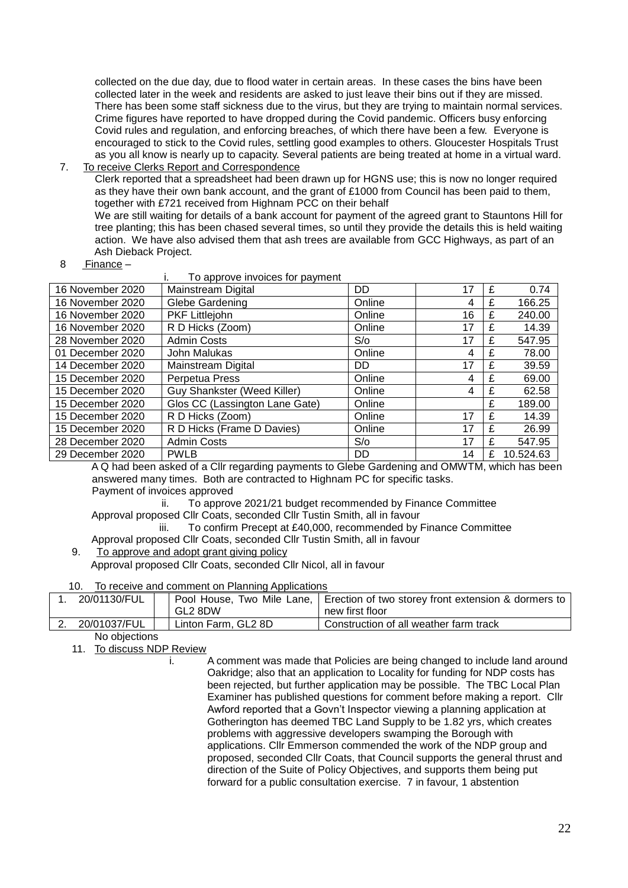collected on the due day, due to flood water in certain areas. In these cases the bins have been collected later in the week and residents are asked to just leave their bins out if they are missed. There has been some staff sickness due to the virus, but they are trying to maintain normal services. Crime figures have reported to have dropped during the Covid pandemic. Officers busy enforcing Covid rules and regulation, and enforcing breaches, of which there have been a few. Everyone is encouraged to stick to the Covid rules, settling good examples to others. Gloucester Hospitals Trust as you all know is nearly up to capacity. Several patients are being treated at home in a virtual ward.

7. To receive Clerks Report and Correspondence

 Clerk reported that a spreadsheet had been drawn up for HGNS use; this is now no longer required as they have their own bank account, and the grant of £1000 from Council has been paid to them. together with £721 received from Highnam PCC on their behalf

 We are still waiting for details of a bank account for payment of the agreed grant to Stauntons Hill for tree planting; this has been chased several times, so until they provide the details this is held waiting action. We have also advised them that ash trees are available from GCC Highways, as part of an Ash Dieback Project.

8 Finance –

|                  | To approve invoices for payment |           |    |   |           |
|------------------|---------------------------------|-----------|----|---|-----------|
| 16 November 2020 | Mainstream Digital              | <b>DD</b> | 17 | £ | 0.74      |
| 16 November 2020 | Glebe Gardening                 | Online    | 4  | £ | 166.25    |
| 16 November 2020 | PKF Littlejohn                  | Online    | 16 | £ | 240.00    |
| 16 November 2020 | R D Hicks (Zoom)                | Online    | 17 | £ | 14.39     |
| 28 November 2020 | <b>Admin Costs</b>              | S/O       | 17 | £ | 547.95    |
| 01 December 2020 | John Malukas                    | Online    | 4  | £ | 78.00     |
| 14 December 2020 | Mainstream Digital              | <b>DD</b> | 17 | £ | 39.59     |
| 15 December 2020 | Perpetua Press                  | Online    | 4  | £ | 69.00     |
| 15 December 2020 | Guy Shankster (Weed Killer)     | Online    | 4  | £ | 62.58     |
| 15 December 2020 | Glos CC (Lassington Lane Gate)  | Online    |    | £ | 189.00    |
| 15 December 2020 | R D Hicks (Zoom)                | Online    | 17 | £ | 14.39     |
| 15 December 2020 | R D Hicks (Frame D Davies)      | Online    | 17 | £ | 26.99     |
| 28 December 2020 | <b>Admin Costs</b>              | S/O       | 17 |   | 547.95    |
| 29 December 2020 | <b>PWLB</b>                     | DD        | 14 | £ | 10.524.63 |

 A Q had been asked of a Cllr regarding payments to Glebe Gardening and OMWTM, which has been answered many times. Both are contracted to Highnam PC for specific tasks.

Payment of invoices approved

ii. To approve 2021/21 budget recommended by Finance Committee Approval proposed Cllr Coats, seconded Cllr Tustin Smith, all in favour

iii. To confirm Precept at £40,000, recommended by Finance Committee

Approval proposed Cllr Coats, seconded Cllr Tustin Smith, all in favour

9. To approve and adopt grant giving policy

Approval proposed Cllr Coats, seconded Cllr Nicol, all in favour

10. To receive and comment on Planning Applications

| 20/01130/FUL | GL2 8DW             | Pool House, Two Mile Lane,   Erection of two storey front extension & dormers to  <br>new first floor |
|--------------|---------------------|-------------------------------------------------------------------------------------------------------|
|              |                     |                                                                                                       |
| 20/01037/FUL | Linton Farm, GL2 8D | Construction of all weather farm track                                                                |

#### No objections

11. To discuss NDP Review

i. A comment was made that Policies are being changed to include land around Oakridge; also that an application to Locality for funding for NDP costs has been rejected, but further application may be possible. The TBC Local Plan Examiner has published questions for comment before making a report. Cllr Awford reported that a Govn't Inspector viewing a planning application at Gotherington has deemed TBC Land Supply to be 1.82 yrs, which creates problems with aggressive developers swamping the Borough with applications. Cllr Emmerson commended the work of the NDP group and proposed, seconded Cllr Coats, that Council supports the general thrust and direction of the Suite of Policy Objectives, and supports them being put forward for a public consultation exercise. 7 in favour, 1 abstention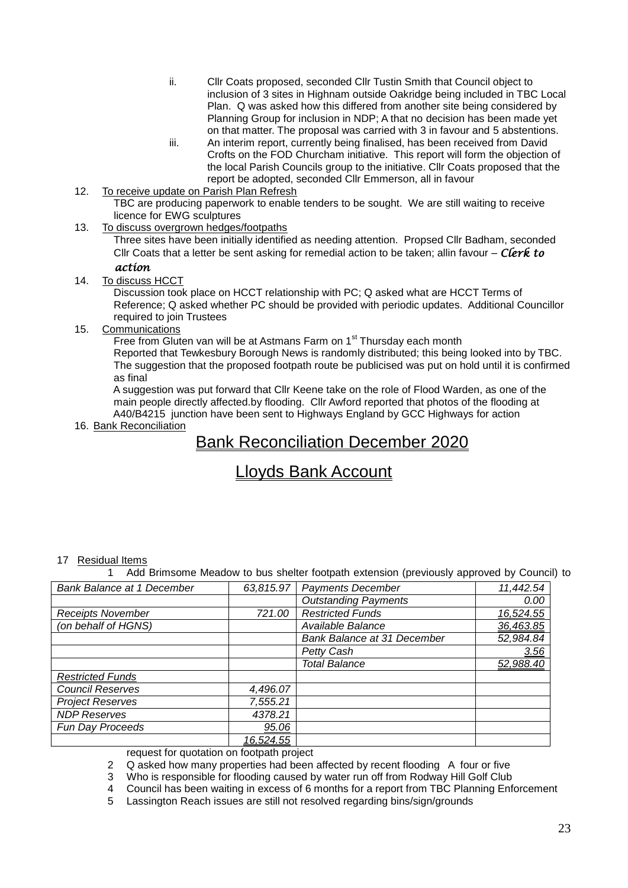- ii. Cllr Coats proposed, seconded Cllr Tustin Smith that Council object to inclusion of 3 sites in Highnam outside Oakridge being included in TBC Local Plan. Q was asked how this differed from another site being considered by Planning Group for inclusion in NDP; A that no decision has been made yet on that matter. The proposal was carried with 3 in favour and 5 abstentions.
- iii. An interim report, currently being finalised, has been received from David Crofts on the FOD Churcham initiative. This report will form the objection of the local Parish Councils group to the initiative. Cllr Coats proposed that the report be adopted, seconded Cllr Emmerson, all in favour
- 12. To receive update on Parish Plan Refresh TBC are producing paperwork to enable tenders to be sought. We are still waiting to receive licence for EWG sculptures
- 13. To discuss overgrown hedges/footpaths

 Three sites have been initially identified as needing attention. Propsed Cllr Badham, seconded Cllr Coats that a letter be sent asking for remedial action to be taken; allin favour – *Clerk to action* 

14. To discuss HCCT

 Discussion took place on HCCT relationship with PC; Q asked what are HCCT Terms of Reference; Q asked whether PC should be provided with periodic updates. Additional Councillor required to join Trustees

15. Communications

Free from Gluten van will be at Astmans Farm on 1<sup>st</sup> Thursday each month

 Reported that Tewkesbury Borough News is randomly distributed; this being looked into by TBC. The suggestion that the proposed footpath route be publicised was put on hold until it is confirmed as final

 A suggestion was put forward that Cllr Keene take on the role of Flood Warden, as one of the main people directly affected.by flooding. Cllr Awford reported that photos of the flooding at A40/B4215 junction have been sent to Highways England by GCC Highways for action

16. Bank Reconciliation

## Bank Reconciliation December 2020

# Lloyds Bank Account

#### 17 Residual Items

1 Add Brimsome Meadow to bus shelter footpath extension (previously approved by Council) to

| <b>Bank Balance at 1 December</b> | 63,815.97 | <b>Payments December</b>    | 11,442.54 |
|-----------------------------------|-----------|-----------------------------|-----------|
|                                   |           | <b>Outstanding Payments</b> | 0.00      |
| <b>Receipts November</b>          | 721.00    | <b>Restricted Funds</b>     | 16,524.55 |
| (on behalf of HGNS)               |           | Available Balance           | 36,463.85 |
|                                   |           | Bank Balance at 31 December | 52,984.84 |
|                                   |           | Petty Cash                  | 3.56      |
|                                   |           | <b>Total Balance</b>        | 52,988.40 |
| <b>Restricted Funds</b>           |           |                             |           |
| <b>Council Reserves</b>           | 4,496.07  |                             |           |
| <b>Project Reserves</b>           | 7,555.21  |                             |           |
| <b>NDP Reserves</b>               | 4378.21   |                             |           |
| Fun Day Proceeds                  | 95.06     |                             |           |
|                                   | 16,524.55 |                             |           |

request for quotation on footpath project

2 Q asked how many properties had been affected by recent flooding A four or five

3 Who is responsible for flooding caused by water run off from Rodway Hill Golf Club

4 Council has been waiting in excess of 6 months for a report from TBC Planning Enforcement

5 Lassington Reach issues are still not resolved regarding bins/sign/grounds